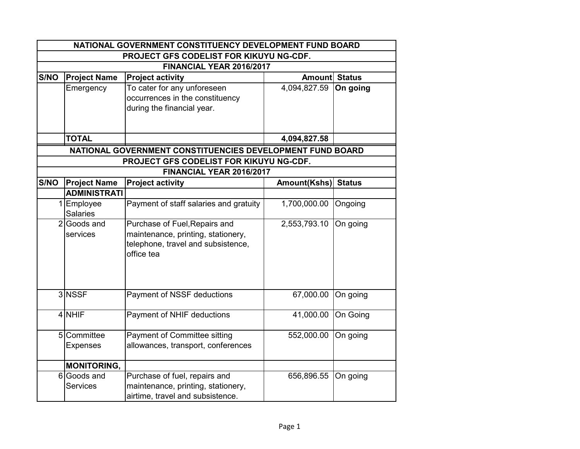| NATIONAL GOVERNMENT CONSTITUENCY DEVELOPMENT FUND BOARD<br>PROJECT GFS CODELIST FOR KIKUYU NG-CDF. |                     |                                                           |                      |               |  |                          |
|----------------------------------------------------------------------------------------------------|---------------------|-----------------------------------------------------------|----------------------|---------------|--|--------------------------|
|                                                                                                    |                     |                                                           |                      |               |  | FINANCIAL YEAR 2016/2017 |
| S/NO                                                                                               | <b>Project Name</b> | <b>Project activity</b>                                   | <b>Amount Status</b> |               |  |                          |
|                                                                                                    | Emergency           | To cater for any unforeseen                               | 4,094,827.59         | On going      |  |                          |
|                                                                                                    |                     | occurrences in the constituency                           |                      |               |  |                          |
|                                                                                                    |                     | during the financial year.                                |                      |               |  |                          |
|                                                                                                    |                     |                                                           |                      |               |  |                          |
|                                                                                                    |                     |                                                           |                      |               |  |                          |
|                                                                                                    | <b>TOTAL</b>        |                                                           | 4,094,827.58         |               |  |                          |
|                                                                                                    |                     | NATIONAL GOVERNMENT CONSTITUENCIES DEVELOPMENT FUND BOARD |                      |               |  |                          |
|                                                                                                    |                     | PROJECT GFS CODELIST FOR KIKUYU NG-CDF.                   |                      |               |  |                          |
|                                                                                                    |                     | FINANCIAL YEAR 2016/2017                                  |                      |               |  |                          |
| S/NO                                                                                               | <b>Project Name</b> | <b>Project activity</b>                                   | Amount(Kshs)         | <b>Status</b> |  |                          |
|                                                                                                    | <b>ADMINISTRATI</b> |                                                           |                      |               |  |                          |
|                                                                                                    | 1 Employee          | Payment of staff salaries and gratuity                    | 1,700,000.00         | Ongoing       |  |                          |
|                                                                                                    | <b>Salaries</b>     |                                                           |                      |               |  |                          |
| $\overline{2}$                                                                                     | Goods and           | Purchase of Fuel, Repairs and                             | 2,553,793.10         | On going      |  |                          |
|                                                                                                    | services            | maintenance, printing, stationery,                        |                      |               |  |                          |
|                                                                                                    |                     | telephone, travel and subsistence,                        |                      |               |  |                          |
|                                                                                                    |                     | office tea                                                |                      |               |  |                          |
|                                                                                                    |                     |                                                           |                      |               |  |                          |
|                                                                                                    |                     |                                                           |                      |               |  |                          |
|                                                                                                    | 3 NSSF              | Payment of NSSF deductions                                | 67,000.00            | On going      |  |                          |
|                                                                                                    |                     |                                                           |                      |               |  |                          |
|                                                                                                    | 4 NHIF              | Payment of NHIF deductions                                | 41,000.00            | On Going      |  |                          |
|                                                                                                    |                     |                                                           |                      |               |  |                          |
|                                                                                                    | 5 Committee         | <b>Payment of Committee sitting</b>                       | 552,000.00           | On going      |  |                          |
|                                                                                                    | <b>Expenses</b>     | allowances, transport, conferences                        |                      |               |  |                          |
|                                                                                                    |                     |                                                           |                      |               |  |                          |
|                                                                                                    | <b>MONITORING,</b>  |                                                           |                      |               |  |                          |
|                                                                                                    | 6 Goods and         | Purchase of fuel, repairs and                             | 656,896.55           | On going      |  |                          |
|                                                                                                    | <b>Services</b>     | maintenance, printing, stationery,                        |                      |               |  |                          |
|                                                                                                    |                     | airtime, travel and subsistence.                          |                      |               |  |                          |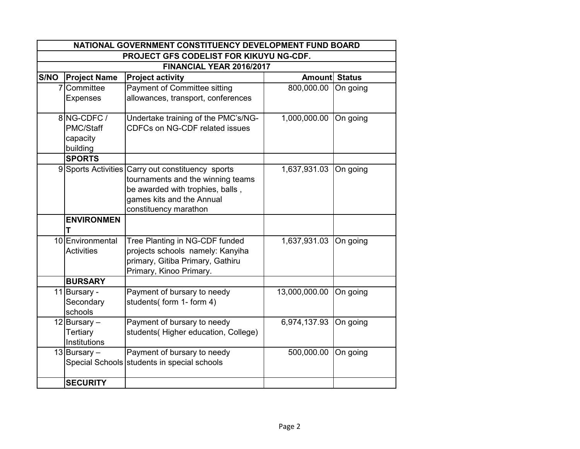| NATIONAL GOVERNMENT CONSTITUENCY DEVELOPMENT FUND BOARD |                     |                                                   |                      |          |  |
|---------------------------------------------------------|---------------------|---------------------------------------------------|----------------------|----------|--|
| PROJECT GFS CODELIST FOR KIKUYU NG-CDF.                 |                     |                                                   |                      |          |  |
| FINANCIAL YEAR 2016/2017                                |                     |                                                   |                      |          |  |
| S/NO                                                    | <b>Project Name</b> | <b>Project activity</b>                           | <b>Amount Status</b> |          |  |
| 7                                                       | Committee           | Payment of Committee sitting                      | 800,000.00           | On going |  |
|                                                         | <b>Expenses</b>     | allowances, transport, conferences                |                      |          |  |
|                                                         | 8 NG-CDFC /         | Undertake training of the PMC's/NG-               | 1,000,000.00         | On going |  |
|                                                         | PMC/Staff           | <b>CDFCs on NG-CDF related issues</b>             |                      |          |  |
|                                                         | capacity            |                                                   |                      |          |  |
|                                                         | building            |                                                   |                      |          |  |
|                                                         | <b>SPORTS</b>       |                                                   |                      |          |  |
|                                                         |                     | 9 Sports Activities Carry out constituency sports | 1,637,931.03         | On going |  |
|                                                         |                     | tournaments and the winning teams                 |                      |          |  |
|                                                         |                     | be awarded with trophies, balls,                  |                      |          |  |
|                                                         |                     | games kits and the Annual                         |                      |          |  |
|                                                         |                     | constituency marathon                             |                      |          |  |
|                                                         | <b>ENVIRONMEN</b>   |                                                   |                      |          |  |
|                                                         | 10 Environmental    | Tree Planting in NG-CDF funded                    | 1,637,931.03         | On going |  |
|                                                         | <b>Activities</b>   | projects schools namely: Kanyiha                  |                      |          |  |
|                                                         |                     | primary, Gitiba Primary, Gathiru                  |                      |          |  |
|                                                         |                     | Primary, Kinoo Primary.                           |                      |          |  |
|                                                         | <b>BURSARY</b>      |                                                   |                      |          |  |
|                                                         | 11 Bursary -        | Payment of bursary to needy                       | 13,000,000.00        | On going |  |
|                                                         | Secondary           | students(form 1-form 4)                           |                      |          |  |
|                                                         | schools             |                                                   |                      |          |  |
|                                                         | 12 Bursary $-$      | Payment of bursary to needy                       | 6,974,137.93         | On going |  |
|                                                         | <b>Tertiary</b>     | students(Higher education, College)               |                      |          |  |
|                                                         | Institutions        |                                                   |                      |          |  |
|                                                         | 13 Bursary -        | Payment of bursary to needy                       | 500,000.00           | On going |  |
|                                                         |                     | Special Schools students in special schools       |                      |          |  |
|                                                         | <b>SECURITY</b>     |                                                   |                      |          |  |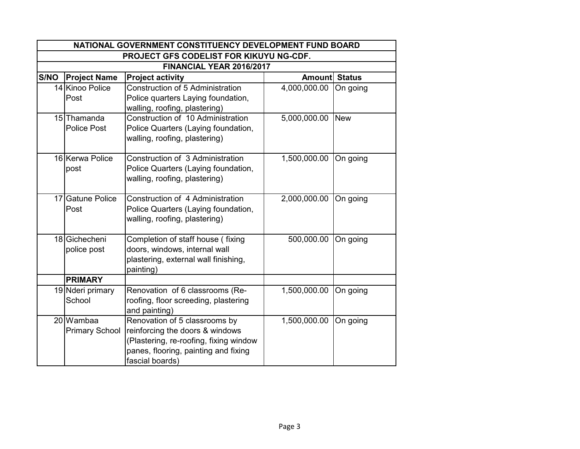| NATIONAL GOVERNMENT CONSTITUENCY DEVELOPMENT FUND BOARD |                                    |                                                                                                                                                                       |                      |            |  |
|---------------------------------------------------------|------------------------------------|-----------------------------------------------------------------------------------------------------------------------------------------------------------------------|----------------------|------------|--|
| PROJECT GFS CODELIST FOR KIKUYU NG-CDF.                 |                                    |                                                                                                                                                                       |                      |            |  |
|                                                         | FINANCIAL YEAR 2016/2017           |                                                                                                                                                                       |                      |            |  |
| S/NO                                                    | <b>Project Name</b>                | <b>Project activity</b>                                                                                                                                               | <b>Amount Status</b> |            |  |
|                                                         | 14 Kinoo Police<br>Post            | Construction of 5 Administration<br>Police quarters Laying foundation,<br>walling, roofing, plastering)                                                               | 4,000,000.00         | On going   |  |
|                                                         | 15 Thamanda<br><b>Police Post</b>  | Construction of 10 Administration<br>Police Quarters (Laying foundation,<br>walling, roofing, plastering)                                                             | 5,000,000.00         | <b>New</b> |  |
|                                                         | 16 Kerwa Police<br>post            | Construction of 3 Administration<br>Police Quarters (Laying foundation,<br>walling, roofing, plastering)                                                              | 1,500,000.00         | On going   |  |
|                                                         | 17 Gatune Police<br>Post           | Construction of 4 Administration<br>Police Quarters (Laying foundation,<br>walling, roofing, plastering)                                                              | 2,000,000.00         | On going   |  |
|                                                         | 18 Gichecheni<br>police post       | Completion of staff house (fixing<br>doors, windows, internal wall<br>plastering, external wall finishing,<br>painting)                                               | 500,000.00           | On going   |  |
|                                                         | <b>PRIMARY</b>                     |                                                                                                                                                                       |                      |            |  |
|                                                         | 19 Nderi primary<br>School         | Renovation of 6 classrooms (Re-<br>roofing, floor screeding, plastering<br>and painting)                                                                              | 1,500,000.00         | On going   |  |
|                                                         | 20 Wambaa<br><b>Primary School</b> | Renovation of 5 classrooms by<br>reinforcing the doors & windows<br>(Plastering, re-roofing, fixing window<br>panes, flooring, painting and fixing<br>fascial boards) | 1,500,000.00         | On going   |  |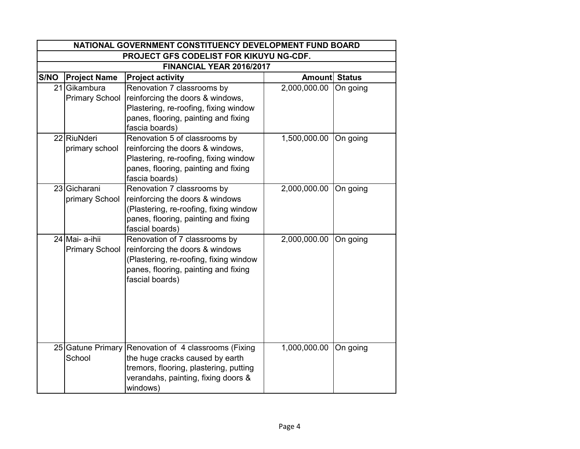| NATIONAL GOVERNMENT CONSTITUENCY DEVELOPMENT FUND BOARD |                                         |                                                                                                                                                                       |                      |          |  |  |
|---------------------------------------------------------|-----------------------------------------|-----------------------------------------------------------------------------------------------------------------------------------------------------------------------|----------------------|----------|--|--|
| PROJECT GFS CODELIST FOR KIKUYU NG-CDF.                 |                                         |                                                                                                                                                                       |                      |          |  |  |
|                                                         | FINANCIAL YEAR 2016/2017                |                                                                                                                                                                       |                      |          |  |  |
| S/NO                                                    | <b>Project Name</b>                     | <b>Project activity</b>                                                                                                                                               | <b>Amount Status</b> |          |  |  |
|                                                         | 21 Gikambura<br><b>Primary School</b>   | Renovation 7 classrooms by<br>reinforcing the doors & windows,<br>Plastering, re-roofing, fixing window<br>panes, flooring, painting and fixing<br>fascia boards)     | 2,000,000.00         | On going |  |  |
|                                                         | 22 RiuNderi<br>primary school           | Renovation 5 of classrooms by<br>reinforcing the doors & windows,<br>Plastering, re-roofing, fixing window<br>panes, flooring, painting and fixing<br>fascia boards)  | 1,500,000.00         | On going |  |  |
|                                                         | 23 Gicharani<br>primary School          | Renovation 7 classrooms by<br>reinforcing the doors & windows<br>(Plastering, re-roofing, fixing window<br>panes, flooring, painting and fixing<br>fascial boards)    | 2,000,000.00         | On going |  |  |
|                                                         | 24 Mai- a-ihii<br><b>Primary School</b> | Renovation of 7 classrooms by<br>reinforcing the doors & windows<br>(Plastering, re-roofing, fixing window<br>panes, flooring, painting and fixing<br>fascial boards) | 2,000,000.00         | On going |  |  |
|                                                         | 25 Gatune Primary<br>School             | Renovation of 4 classrooms (Fixing<br>the huge cracks caused by earth<br>tremors, flooring, plastering, putting<br>verandahs, painting, fixing doors &<br>windows)    | 1,000,000.00         | On going |  |  |